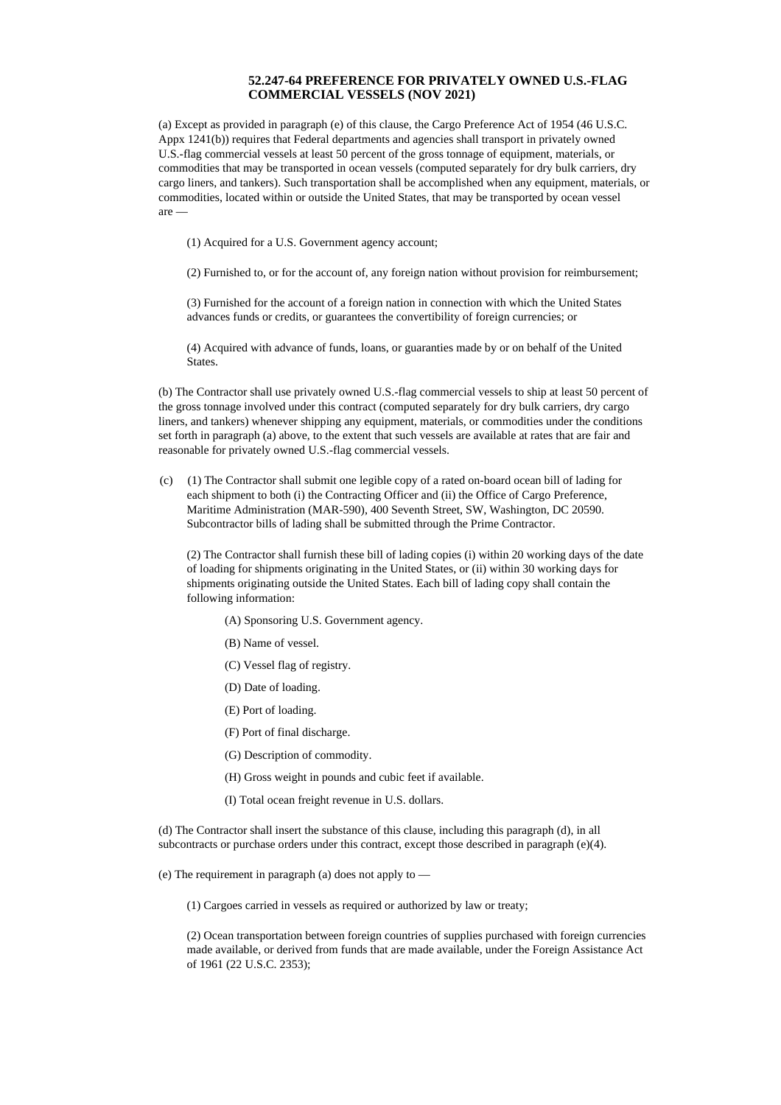## **52.247-64 PREFERENCE FOR PRIVATELY OWNED U.S.-FLAG COMMERCIAL VESSELS (NOV 2021)**

(a) Except as provided in paragraph (e) of this clause, the Cargo Preference Act of 1954 (46 U.S.C. Appx 1241(b)) requires that Federal departments and agencies shall transport in privately owned U.S.-flag commercial vessels at least 50 percent of the gross tonnage of equipment, materials, or commodities that may be transported in ocean vessels (computed separately for dry bulk carriers, dry cargo liners, and tankers). Such transportation shall be accomplished when any equipment, materials, or commodities, located within or outside the United States, that may be transported by ocean vessel are —

(1) Acquired for a U.S. Government agency account;

(2) Furnished to, or for the account of, any foreign nation without provision for reimbursement;

(3) Furnished for the account of a foreign nation in connection with which the United States advances funds or credits, or guarantees the convertibility of foreign currencies; or

(4) Acquired with advance of funds, loans, or guaranties made by or on behalf of the United States.

(b) The Contractor shall use privately owned U.S.-flag commercial vessels to ship at least 50 percent of the gross tonnage involved under this contract (computed separately for dry bulk carriers, dry cargo liners, and tankers) whenever shipping any equipment, materials, or commodities under the conditions set forth in paragraph (a) above, to the extent that such vessels are available at rates that are fair and reasonable for privately owned U.S.-flag commercial vessels.

(c) (1) The Contractor shall submit one legible copy of a rated on-board ocean bill of lading for each shipment to both (i) the Contracting Officer and (ii) the Office of Cargo Preference, Maritime Administration (MAR-590), 400 Seventh Street, SW, Washington, DC 20590. Subcontractor bills of lading shall be submitted through the Prime Contractor.

(2) The Contractor shall furnish these bill of lading copies (i) within 20 working days of the date of loading for shipments originating in the United States, or (ii) within 30 working days for shipments originating outside the United States. Each bill of lading copy shall contain the following information:

- (A) Sponsoring U.S. Government agency.
- (B) Name of vessel.
- (C) Vessel flag of registry.
- (D) Date of loading.
- (E) Port of loading.
- (F) Port of final discharge.
- (G) Description of commodity.
- (H) Gross weight in pounds and cubic feet if available.
- (I) Total ocean freight revenue in U.S. dollars.

(d) The Contractor shall insert the substance of this clause, including this paragraph (d), in all subcontracts or purchase orders under this contract, except those described in paragraph (e)(4).

(e) The requirement in paragraph (a) does not apply to —

(1) Cargoes carried in vessels as required or authorized by law or treaty;

(2) Ocean transportation between foreign countries of supplies purchased with foreign currencies made available, or derived from funds that are made available, under the Foreign Assistance Act of 1961 (22 U.S.C. 2353);